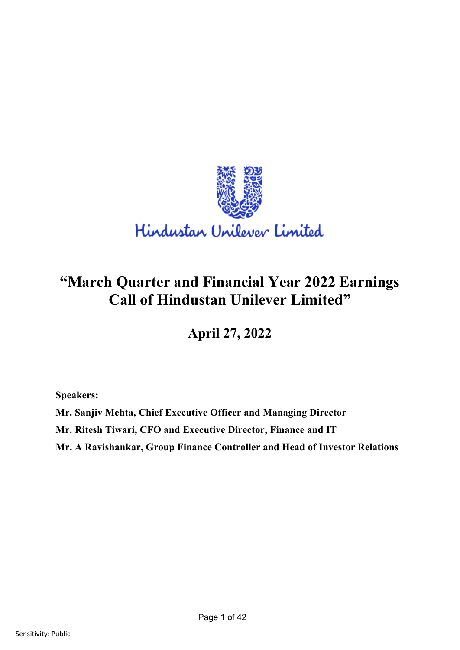

# **"March Quarter and Financial Year 2022 Earnings Call of Hindustan Unilever Limited"**

**April 27, 2022**

**Speakers:** 

**Mr. Sanjiv Mehta, Chief Executive Officer and Managing Director**

**Mr. Ritesh Tiwari, CFO and Executive Director, Finance and IT**

**Mr. A Ravishankar, Group Finance Controller and Head of Investor Relations**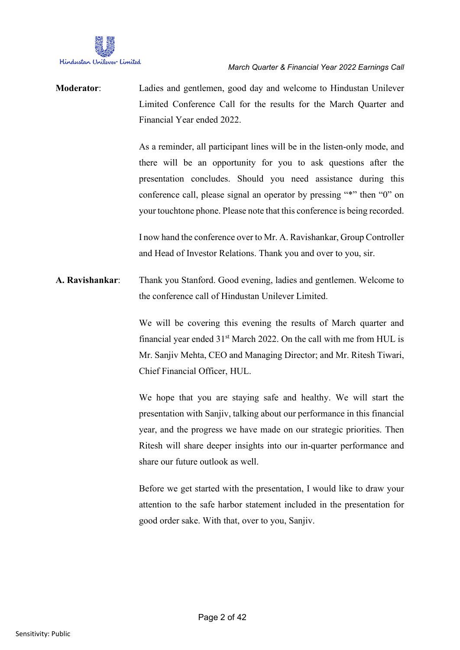

**Moderator**: Ladies and gentlemen, good day and welcome to Hindustan Unilever Limited Conference Call for the results for the March Quarter and Financial Year ended 2022.

> As a reminder, all participant lines will be in the listen-only mode, and there will be an opportunity for you to ask questions after the presentation concludes. Should you need assistance during this conference call, please signal an operator by pressing "\*" then "0" on your touchtone phone. Please note that this conference is being recorded.

> I now hand the conference over to Mr. A. Ravishankar, Group Controller and Head of Investor Relations. Thank you and over to you, sir.

**A. Ravishankar**: Thank you Stanford. Good evening, ladies and gentlemen. Welcome to the conference call of Hindustan Unilever Limited.

> We will be covering this evening the results of March quarter and financial year ended  $31<sup>st</sup>$  March 2022. On the call with me from HUL is Mr. Sanjiv Mehta, CEO and Managing Director; and Mr. Ritesh Tiwari, Chief Financial Officer, HUL.

> We hope that you are staying safe and healthy. We will start the presentation with Sanjiv, talking about our performance in this financial year, and the progress we have made on our strategic priorities. Then Ritesh will share deeper insights into our in-quarter performance and share our future outlook as well.

> Before we get started with the presentation, I would like to draw your attention to the safe harbor statement included in the presentation for good order sake. With that, over to you, Sanjiv.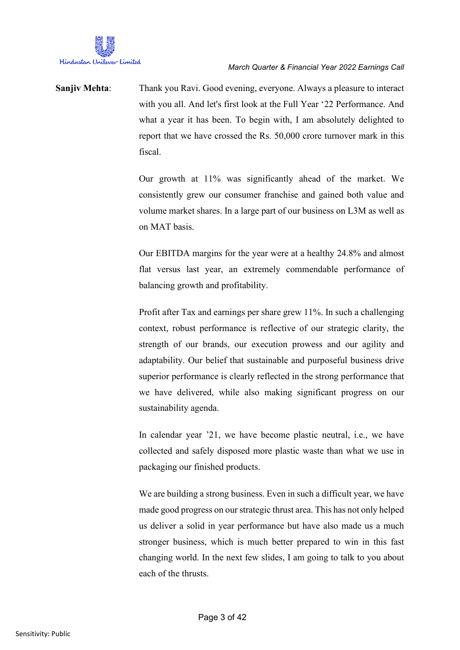

**Sanjiv Mehta**: Thank you Ravi. Good evening, everyone. Always a pleasure to interact with you all. And let's first look at the Full Year '22 Performance. And what a year it has been. To begin with, I am absolutely delighted to report that we have crossed the Rs. 50,000 crore turnover mark in this fiscal.

> Our growth at 11% was significantly ahead of the market. We consistently grew our consumer franchise and gained both value and volume market shares. In a large part of our business on L3M as well as on MAT basis.

> Our EBITDA margins for the year were at a healthy 24.8% and almost flat versus last year, an extremely commendable performance of balancing growth and profitability.

> Profit after Tax and earnings per share grew 11%. In such a challenging context, robust performance is reflective of our strategic clarity, the strength of our brands, our execution prowess and our agility and adaptability. Our belief that sustainable and purposeful business drive superior performance is clearly reflected in the strong performance that we have delivered, while also making significant progress on our sustainability agenda.

> In calendar year '21, we have become plastic neutral, i.e., we have collected and safely disposed more plastic waste than what we use in packaging our finished products.

> We are building a strong business. Even in such a difficult year, we have made good progress on our strategic thrust area. This has not only helped us deliver a solid in year performance but have also made us a much stronger business, which is much better prepared to win in this fast changing world. In the next few slides, I am going to talk to you about each of the thrusts.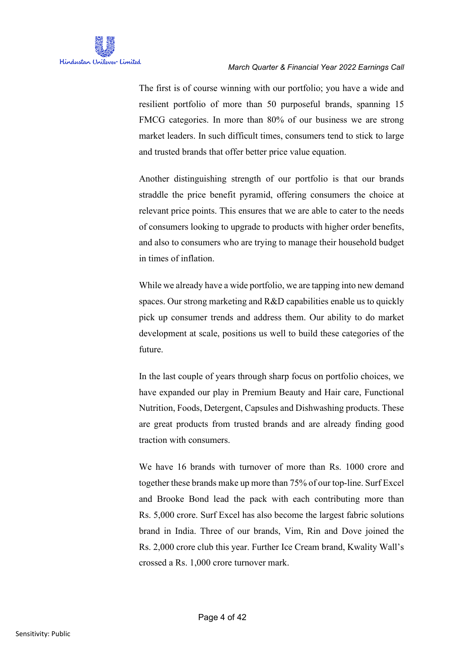The first is of course winning with our portfolio; you have a wide and resilient portfolio of more than 50 purposeful brands, spanning 15 FMCG categories. In more than 80% of our business we are strong market leaders. In such difficult times, consumers tend to stick to large and trusted brands that offer better price value equation.

Another distinguishing strength of our portfolio is that our brands straddle the price benefit pyramid, offering consumers the choice at relevant price points. This ensures that we are able to cater to the needs of consumers looking to upgrade to products with higher order benefits, and also to consumers who are trying to manage their household budget in times of inflation.

While we already have a wide portfolio, we are tapping into new demand spaces. Our strong marketing and R&D capabilities enable us to quickly pick up consumer trends and address them. Our ability to do market development at scale, positions us well to build these categories of the future.

In the last couple of years through sharp focus on portfolio choices, we have expanded our play in Premium Beauty and Hair care, Functional Nutrition, Foods, Detergent, Capsules and Dishwashing products. These are great products from trusted brands and are already finding good traction with consumers.

We have 16 brands with turnover of more than Rs. 1000 crore and together these brands make up more than 75% of our top-line. Surf Excel and Brooke Bond lead the pack with each contributing more than Rs. 5,000 crore. Surf Excel has also become the largest fabric solutions brand in India. Three of our brands, Vim, Rin and Dove joined the Rs. 2,000 crore club this year. Further Ice Cream brand, Kwality Wall's crossed a Rs. 1,000 crore turnover mark.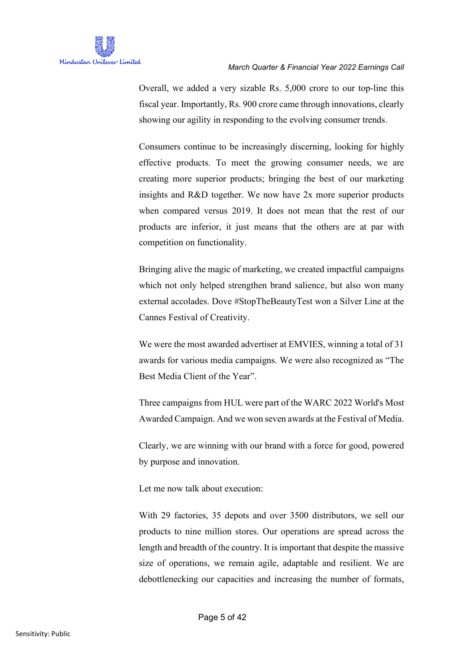

Overall, we added a very sizable Rs. 5,000 crore to our top-line this fiscal year. Importantly, Rs. 900 crore came through innovations, clearly showing our agility in responding to the evolving consumer trends.

Consumers continue to be increasingly discerning, looking for highly effective products. To meet the growing consumer needs, we are creating more superior products; bringing the best of our marketing insights and R&D together. We now have 2x more superior products when compared versus 2019. It does not mean that the rest of our products are inferior, it just means that the others are at par with competition on functionality.

Bringing alive the magic of marketing, we created impactful campaigns which not only helped strengthen brand salience, but also won many external accolades. Dove #StopTheBeautyTest won a Silver Line at the Cannes Festival of Creativity.

We were the most awarded advertiser at EMVIES, winning a total of 31 awards for various media campaigns. We were also recognized as "The Best Media Client of the Year".

Three campaigns from HUL were part of the WARC 2022 World's Most Awarded Campaign. And we won seven awards at the Festival of Media.

Clearly, we are winning with our brand with a force for good, powered by purpose and innovation.

Let me now talk about execution:

With 29 factories, 35 depots and over 3500 distributors, we sell our products to nine million stores. Our operations are spread across the length and breadth of the country. It is important that despite the massive size of operations, we remain agile, adaptable and resilient. We are debottlenecking our capacities and increasing the number of formats,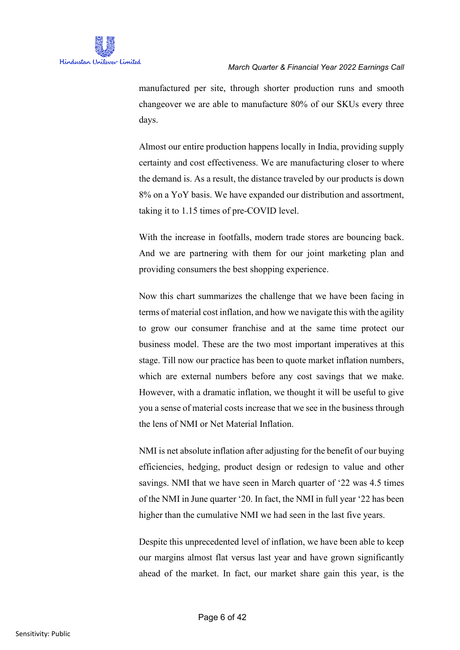

manufactured per site, through shorter production runs and smooth changeover we are able to manufacture 80% of our SKUs every three days.

Almost our entire production happens locally in India, providing supply certainty and cost effectiveness. We are manufacturing closer to where the demand is. As a result, the distance traveled by our products is down 8% on a YoY basis. We have expanded our distribution and assortment, taking it to 1.15 times of pre-COVID level.

With the increase in footfalls, modern trade stores are bouncing back. And we are partnering with them for our joint marketing plan and providing consumers the best shopping experience.

Now this chart summarizes the challenge that we have been facing in terms of material cost inflation, and how we navigate this with the agility to grow our consumer franchise and at the same time protect our business model. These are the two most important imperatives at this stage. Till now our practice has been to quote market inflation numbers, which are external numbers before any cost savings that we make. However, with a dramatic inflation, we thought it will be useful to give you a sense of material costs increase that we see in the business through the lens of NMI or Net Material Inflation.

NMI is net absolute inflation after adjusting for the benefit of our buying efficiencies, hedging, product design or redesign to value and other savings. NMI that we have seen in March quarter of '22 was 4.5 times of the NMI in June quarter '20. In fact, the NMI in full year '22 has been higher than the cumulative NMI we had seen in the last five years.

Despite this unprecedented level of inflation, we have been able to keep our margins almost flat versus last year and have grown significantly ahead of the market. In fact, our market share gain this year, is the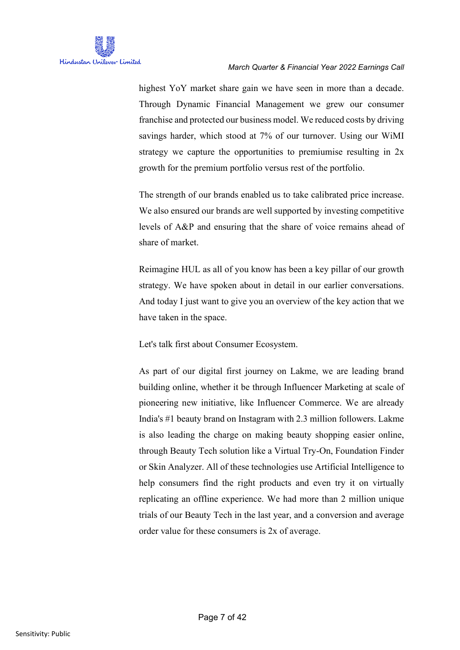

highest YoY market share gain we have seen in more than a decade. Through Dynamic Financial Management we grew our consumer franchise and protected our business model. We reduced costs by driving savings harder, which stood at 7% of our turnover. Using our WiMI strategy we capture the opportunities to premiumise resulting in 2x growth for the premium portfolio versus rest of the portfolio.

The strength of our brands enabled us to take calibrated price increase. We also ensured our brands are well supported by investing competitive levels of A&P and ensuring that the share of voice remains ahead of share of market.

Reimagine HUL as all of you know has been a key pillar of our growth strategy. We have spoken about in detail in our earlier conversations. And today I just want to give you an overview of the key action that we have taken in the space.

Let's talk first about Consumer Ecosystem.

As part of our digital first journey on Lakme, we are leading brand building online, whether it be through Influencer Marketing at scale of pioneering new initiative, like Influencer Commerce. We are already India's #1 beauty brand on Instagram with 2.3 million followers. Lakme is also leading the charge on making beauty shopping easier online, through Beauty Tech solution like a Virtual Try-On, Foundation Finder or Skin Analyzer. All of these technologies use Artificial Intelligence to help consumers find the right products and even try it on virtually replicating an offline experience. We had more than 2 million unique trials of our Beauty Tech in the last year, and a conversion and average order value for these consumers is 2x of average.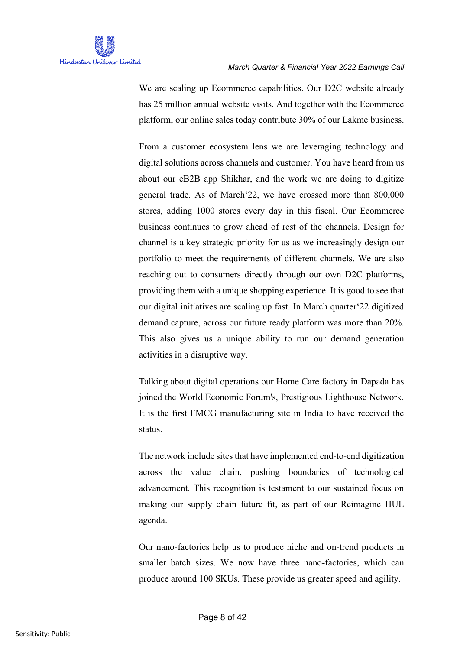

We are scaling up Ecommerce capabilities. Our D2C website already has 25 million annual website visits. And together with the Ecommerce platform, our online sales today contribute 30% of our Lakme business.

From a customer ecosystem lens we are leveraging technology and digital solutions across channels and customer. You have heard from us about our eB2B app Shikhar, and the work we are doing to digitize general trade. As of March'22, we have crossed more than 800,000 stores, adding 1000 stores every day in this fiscal. Our Ecommerce business continues to grow ahead of rest of the channels. Design for channel is a key strategic priority for us as we increasingly design our portfolio to meet the requirements of different channels. We are also reaching out to consumers directly through our own D2C platforms, providing them with a unique shopping experience. It is good to see that our digital initiatives are scaling up fast. In March quarter'22 digitized demand capture, across our future ready platform was more than 20%. This also gives us a unique ability to run our demand generation activities in a disruptive way.

Talking about digital operations our Home Care factory in Dapada has joined the World Economic Forum's, Prestigious Lighthouse Network. It is the first FMCG manufacturing site in India to have received the status.

The network include sites that have implemented end-to-end digitization across the value chain, pushing boundaries of technological advancement. This recognition is testament to our sustained focus on making our supply chain future fit, as part of our Reimagine HUL agenda.

Our nano-factories help us to produce niche and on-trend products in smaller batch sizes. We now have three nano-factories, which can produce around 100 SKUs. These provide us greater speed and agility.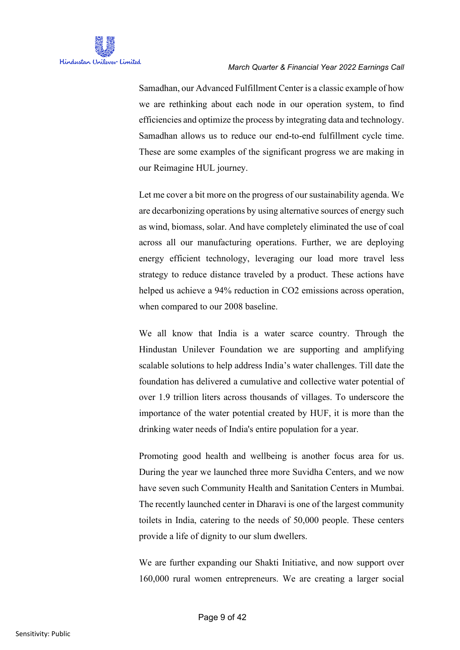Samadhan, our Advanced Fulfillment Center is a classic example of how we are rethinking about each node in our operation system, to find efficiencies and optimize the process by integrating data and technology. Samadhan allows us to reduce our end-to-end fulfillment cycle time. These are some examples of the significant progress we are making in our Reimagine HUL journey.

Let me cover a bit more on the progress of our sustainability agenda. We are decarbonizing operations by using alternative sources of energy such as wind, biomass, solar. And have completely eliminated the use of coal across all our manufacturing operations. Further, we are deploying energy efficient technology, leveraging our load more travel less strategy to reduce distance traveled by a product. These actions have helped us achieve a 94% reduction in CO2 emissions across operation, when compared to our 2008 baseline.

We all know that India is a water scarce country. Through the Hindustan Unilever Foundation we are supporting and amplifying scalable solutions to help address India's water challenges. Till date the foundation has delivered a cumulative and collective water potential of over 1.9 trillion liters across thousands of villages. To underscore the importance of the water potential created by HUF, it is more than the drinking water needs of India's entire population for a year.

Promoting good health and wellbeing is another focus area for us. During the year we launched three more Suvidha Centers, and we now have seven such Community Health and Sanitation Centers in Mumbai. The recently launched center in Dharavi is one of the largest community toilets in India, catering to the needs of 50,000 people. These centers provide a life of dignity to our slum dwellers.

We are further expanding our Shakti Initiative, and now support over 160,000 rural women entrepreneurs. We are creating a larger social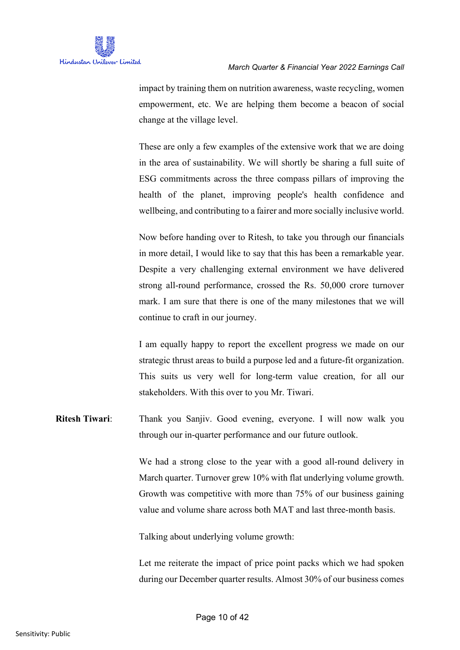

impact by training them on nutrition awareness, waste recycling, women empowerment, etc. We are helping them become a beacon of social change at the village level.

These are only a few examples of the extensive work that we are doing in the area of sustainability. We will shortly be sharing a full suite of ESG commitments across the three compass pillars of improving the health of the planet, improving people's health confidence and wellbeing, and contributing to a fairer and more socially inclusive world.

Now before handing over to Ritesh, to take you through our financials in more detail, I would like to say that this has been a remarkable year. Despite a very challenging external environment we have delivered strong all-round performance, crossed the Rs. 50,000 crore turnover mark. I am sure that there is one of the many milestones that we will continue to craft in our journey.

I am equally happy to report the excellent progress we made on our strategic thrust areas to build a purpose led and a future-fit organization. This suits us very well for long-term value creation, for all our stakeholders. With this over to you Mr. Tiwari.

**Ritesh Tiwari:** Thank you Sanjiv. Good evening, everyone. I will now walk you through our in-quarter performance and our future outlook.

> We had a strong close to the year with a good all-round delivery in March quarter. Turnover grew 10% with flat underlying volume growth. Growth was competitive with more than 75% of our business gaining value and volume share across both MAT and last three-month basis.

Talking about underlying volume growth:

Let me reiterate the impact of price point packs which we had spoken during our December quarter results. Almost 30% of our business comes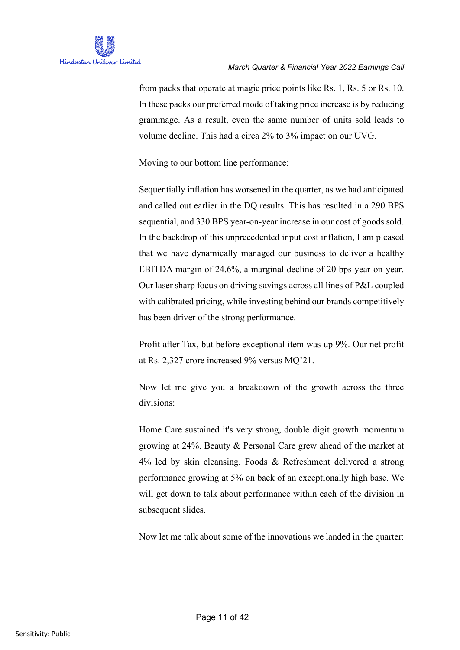from packs that operate at magic price points like Rs. 1, Rs. 5 or Rs. 10. In these packs our preferred mode of taking price increase is by reducing grammage. As a result, even the same number of units sold leads to volume decline. This had a circa 2% to 3% impact on our UVG.

Moving to our bottom line performance:

Sequentially inflation has worsened in the quarter, as we had anticipated and called out earlier in the DQ results. This has resulted in a 290 BPS sequential, and 330 BPS year-on-year increase in our cost of goods sold. In the backdrop of this unprecedented input cost inflation, I am pleased that we have dynamically managed our business to deliver a healthy EBITDA margin of 24.6%, a marginal decline of 20 bps year-on-year. Our laser sharp focus on driving savings across all lines of P&L coupled with calibrated pricing, while investing behind our brands competitively has been driver of the strong performance.

Profit after Tax, but before exceptional item was up 9%. Our net profit at Rs. 2,327 crore increased 9% versus MQ'21.

Now let me give you a breakdown of the growth across the three divisions:

Home Care sustained it's very strong, double digit growth momentum growing at 24%. Beauty & Personal Care grew ahead of the market at 4% led by skin cleansing. Foods & Refreshment delivered a strong performance growing at 5% on back of an exceptionally high base. We will get down to talk about performance within each of the division in subsequent slides.

Now let me talk about some of the innovations we landed in the quarter: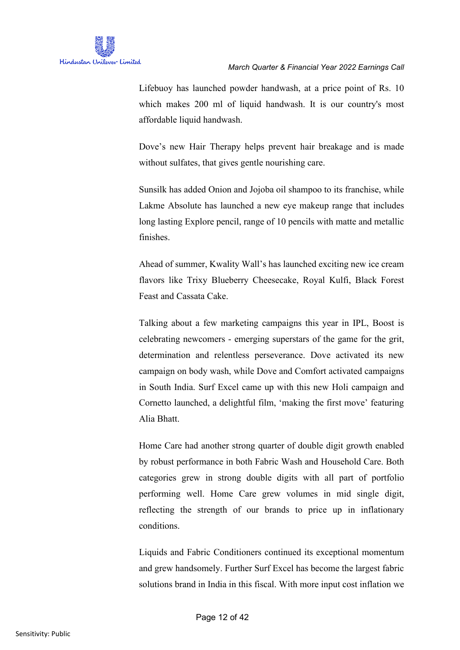

Lifebuoy has launched powder handwash, at a price point of Rs. 10 which makes 200 ml of liquid handwash. It is our country's most affordable liquid handwash.

Dove's new Hair Therapy helps prevent hair breakage and is made without sulfates, that gives gentle nourishing care.

Sunsilk has added Onion and Jojoba oil shampoo to its franchise, while Lakme Absolute has launched a new eye makeup range that includes long lasting Explore pencil, range of 10 pencils with matte and metallic finishes.

Ahead of summer, Kwality Wall's has launched exciting new ice cream flavors like Trixy Blueberry Cheesecake, Royal Kulfi, Black Forest Feast and Cassata Cake.

Talking about a few marketing campaigns this year in IPL, Boost is celebrating newcomers - emerging superstars of the game for the grit, determination and relentless perseverance. Dove activated its new campaign on body wash, while Dove and Comfort activated campaigns in South India. Surf Excel came up with this new Holi campaign and Cornetto launched, a delightful film, 'making the first move' featuring Alia Bhatt.

Home Care had another strong quarter of double digit growth enabled by robust performance in both Fabric Wash and Household Care. Both categories grew in strong double digits with all part of portfolio performing well. Home Care grew volumes in mid single digit, reflecting the strength of our brands to price up in inflationary conditions.

Liquids and Fabric Conditioners continued its exceptional momentum and grew handsomely. Further Surf Excel has become the largest fabric solutions brand in India in this fiscal. With more input cost inflation we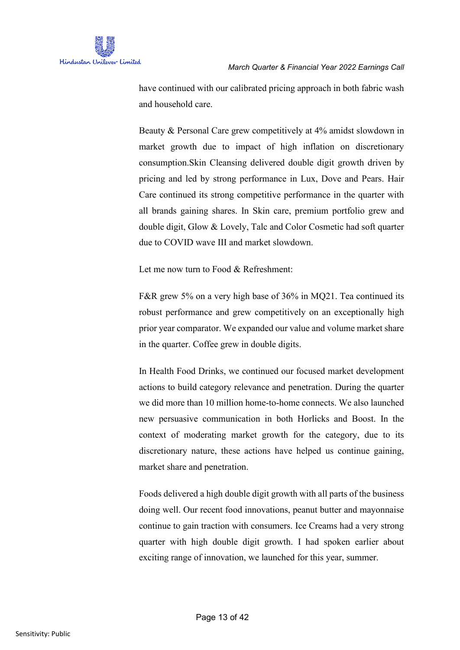

have continued with our calibrated pricing approach in both fabric wash and household care.

Beauty & Personal Care grew competitively at 4% amidst slowdown in market growth due to impact of high inflation on discretionary consumption.Skin Cleansing delivered double digit growth driven by pricing and led by strong performance in Lux, Dove and Pears. Hair Care continued its strong competitive performance in the quarter with all brands gaining shares. In Skin care, premium portfolio grew and double digit, Glow & Lovely, Talc and Color Cosmetic had soft quarter due to COVID wave III and market slowdown.

Let me now turn to Food & Refreshment:

F&R grew 5% on a very high base of 36% in MQ21. Tea continued its robust performance and grew competitively on an exceptionally high prior year comparator. We expanded our value and volume market share in the quarter. Coffee grew in double digits.

In Health Food Drinks, we continued our focused market development actions to build category relevance and penetration. During the quarter we did more than 10 million home-to-home connects. We also launched new persuasive communication in both Horlicks and Boost. In the context of moderating market growth for the category, due to its discretionary nature, these actions have helped us continue gaining, market share and penetration.

Foods delivered a high double digit growth with all parts of the business doing well. Our recent food innovations, peanut butter and mayonnaise continue to gain traction with consumers. Ice Creams had a very strong quarter with high double digit growth. I had spoken earlier about exciting range of innovation, we launched for this year, summer.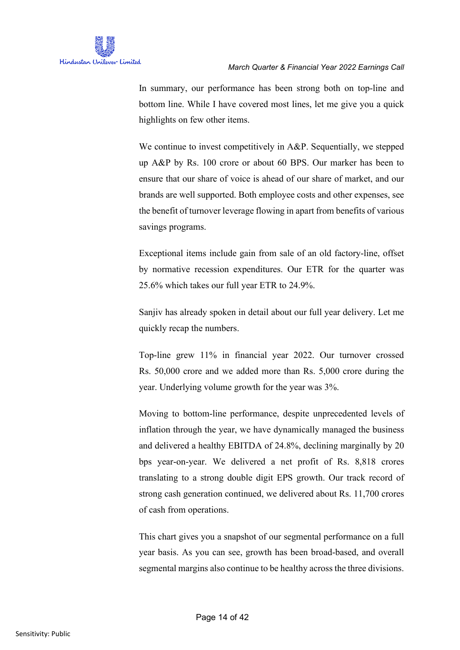

In summary, our performance has been strong both on top-line and bottom line. While I have covered most lines, let me give you a quick highlights on few other items.

We continue to invest competitively in A&P. Sequentially, we stepped up A&P by Rs. 100 crore or about 60 BPS. Our marker has been to ensure that our share of voice is ahead of our share of market, and our brands are well supported. Both employee costs and other expenses, see the benefit of turnover leverage flowing in apart from benefits of various savings programs.

Exceptional items include gain from sale of an old factory-line, offset by normative recession expenditures. Our ETR for the quarter was 25.6% which takes our full year ETR to 24.9%.

Sanjiv has already spoken in detail about our full year delivery. Let me quickly recap the numbers.

Top-line grew 11% in financial year 2022. Our turnover crossed Rs. 50,000 crore and we added more than Rs. 5,000 crore during the year. Underlying volume growth for the year was 3%.

Moving to bottom-line performance, despite unprecedented levels of inflation through the year, we have dynamically managed the business and delivered a healthy EBITDA of 24.8%, declining marginally by 20 bps year-on-year. We delivered a net profit of Rs. 8,818 crores translating to a strong double digit EPS growth. Our track record of strong cash generation continued, we delivered about Rs. 11,700 crores of cash from operations.

This chart gives you a snapshot of our segmental performance on a full year basis. As you can see, growth has been broad-based, and overall segmental margins also continue to be healthy across the three divisions.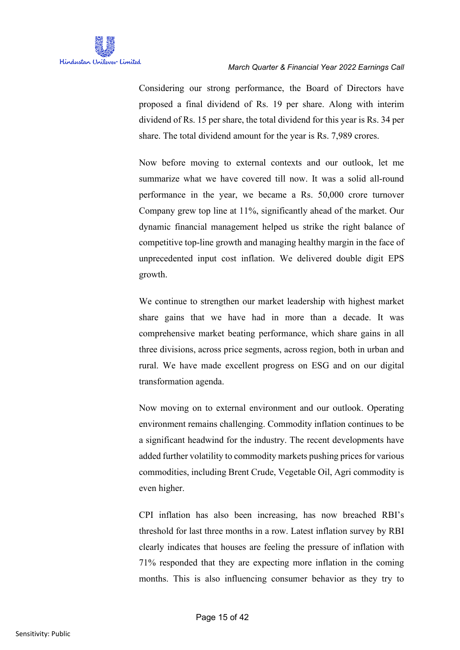

Considering our strong performance, the Board of Directors have proposed a final dividend of Rs. 19 per share. Along with interim dividend of Rs. 15 per share, the total dividend for this year is Rs. 34 per share. The total dividend amount for the year is Rs. 7,989 crores.

Now before moving to external contexts and our outlook, let me summarize what we have covered till now. It was a solid all-round performance in the year, we became a Rs. 50,000 crore turnover Company grew top line at 11%, significantly ahead of the market. Our dynamic financial management helped us strike the right balance of competitive top-line growth and managing healthy margin in the face of unprecedented input cost inflation. We delivered double digit EPS growth.

We continue to strengthen our market leadership with highest market share gains that we have had in more than a decade. It was comprehensive market beating performance, which share gains in all three divisions, across price segments, across region, both in urban and rural. We have made excellent progress on ESG and on our digital transformation agenda.

Now moving on to external environment and our outlook. Operating environment remains challenging. Commodity inflation continues to be a significant headwind for the industry. The recent developments have added further volatility to commodity markets pushing prices for various commodities, including Brent Crude, Vegetable Oil, Agri commodity is even higher.

CPI inflation has also been increasing, has now breached RBI's threshold for last three months in a row. Latest inflation survey by RBI clearly indicates that houses are feeling the pressure of inflation with 71% responded that they are expecting more inflation in the coming months. This is also influencing consumer behavior as they try to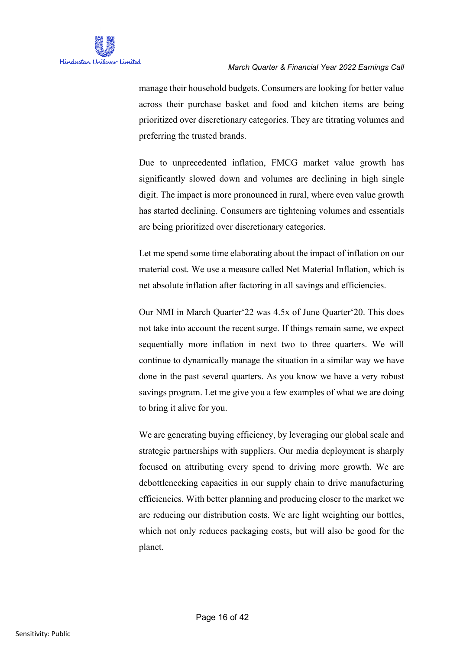

manage their household budgets. Consumers are looking for better value across their purchase basket and food and kitchen items are being prioritized over discretionary categories. They are titrating volumes and preferring the trusted brands.

Due to unprecedented inflation, FMCG market value growth has significantly slowed down and volumes are declining in high single digit. The impact is more pronounced in rural, where even value growth has started declining. Consumers are tightening volumes and essentials are being prioritized over discretionary categories.

Let me spend some time elaborating about the impact of inflation on our material cost. We use a measure called Net Material Inflation, which is net absolute inflation after factoring in all savings and efficiencies.

Our NMI in March Quarter'22 was 4.5x of June Quarter'20. This does not take into account the recent surge. If things remain same, we expect sequentially more inflation in next two to three quarters. We will continue to dynamically manage the situation in a similar way we have done in the past several quarters. As you know we have a very robust savings program. Let me give you a few examples of what we are doing to bring it alive for you.

We are generating buying efficiency, by leveraging our global scale and strategic partnerships with suppliers. Our media deployment is sharply focused on attributing every spend to driving more growth. We are debottlenecking capacities in our supply chain to drive manufacturing efficiencies. With better planning and producing closer to the market we are reducing our distribution costs. We are light weighting our bottles, which not only reduces packaging costs, but will also be good for the planet.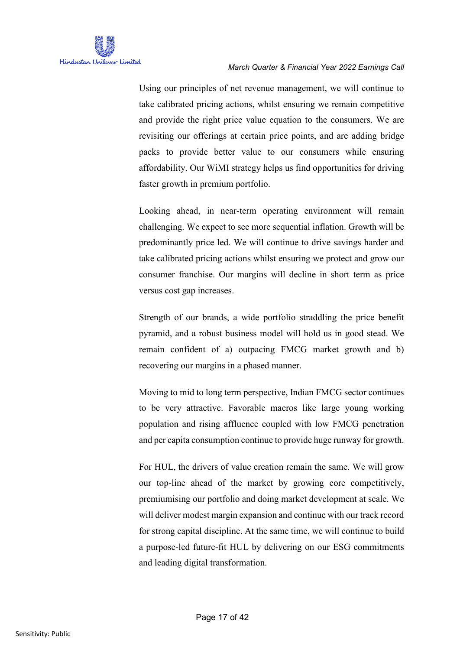

Using our principles of net revenue management, we will continue to take calibrated pricing actions, whilst ensuring we remain competitive and provide the right price value equation to the consumers. We are revisiting our offerings at certain price points, and are adding bridge packs to provide better value to our consumers while ensuring affordability. Our WiMI strategy helps us find opportunities for driving faster growth in premium portfolio.

Looking ahead, in near-term operating environment will remain challenging. We expect to see more sequential inflation. Growth will be predominantly price led. We will continue to drive savings harder and take calibrated pricing actions whilst ensuring we protect and grow our consumer franchise. Our margins will decline in short term as price versus cost gap increases.

Strength of our brands, a wide portfolio straddling the price benefit pyramid, and a robust business model will hold us in good stead. We remain confident of a) outpacing FMCG market growth and b) recovering our margins in a phased manner.

Moving to mid to long term perspective, Indian FMCG sector continues to be very attractive. Favorable macros like large young working population and rising affluence coupled with low FMCG penetration and per capita consumption continue to provide huge runway for growth.

For HUL, the drivers of value creation remain the same. We will grow our top-line ahead of the market by growing core competitively, premiumising our portfolio and doing market development at scale. We will deliver modest margin expansion and continue with our track record for strong capital discipline. At the same time, we will continue to build a purpose-led future-fit HUL by delivering on our ESG commitments and leading digital transformation.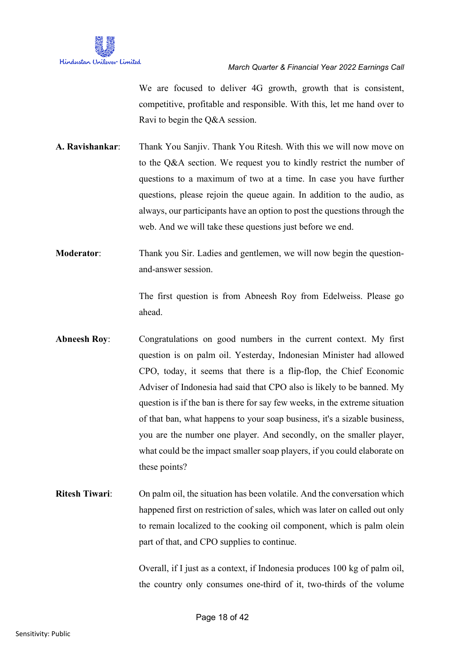

We are focused to deliver 4G growth, growth that is consistent, competitive, profitable and responsible. With this, let me hand over to Ravi to begin the Q&A session.

- **A. Ravishankar**: Thank You Sanjiv. Thank You Ritesh. With this we will now move on to the Q&A section. We request you to kindly restrict the number of questions to a maximum of two at a time. In case you have further questions, please rejoin the queue again. In addition to the audio, as always, our participants have an option to post the questions through the web. And we will take these questions just before we end.
- **Moderator:** Thank you Sir. Ladies and gentlemen, we will now begin the questionand-answer session.

The first question is from Abneesh Roy from Edelweiss. Please go ahead.

- Abneesh Roy: Congratulations on good numbers in the current context. My first question is on palm oil. Yesterday, Indonesian Minister had allowed CPO, today, it seems that there is a flip-flop, the Chief Economic Adviser of Indonesia had said that CPO also is likely to be banned. My question is if the ban is there for say few weeks, in the extreme situation of that ban, what happens to your soap business, it's a sizable business, you are the number one player. And secondly, on the smaller player, what could be the impact smaller soap players, if you could elaborate on these points?
- **Ritesh Tiwari**: On palm oil, the situation has been volatile. And the conversation which happened first on restriction of sales, which was later on called out only to remain localized to the cooking oil component, which is palm olein part of that, and CPO supplies to continue.

Overall, if I just as a context, if Indonesia produces 100 kg of palm oil, the country only consumes one-third of it, two-thirds of the volume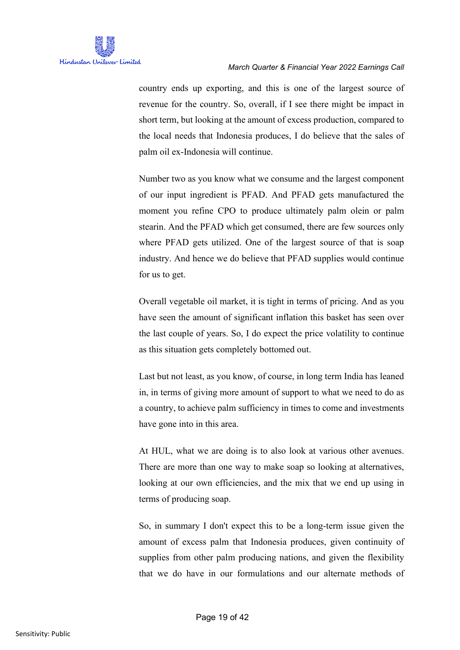country ends up exporting, and this is one of the largest source of revenue for the country. So, overall, if I see there might be impact in short term, but looking at the amount of excess production, compared to the local needs that Indonesia produces, I do believe that the sales of palm oil ex-Indonesia will continue.

Number two as you know what we consume and the largest component of our input ingredient is PFAD. And PFAD gets manufactured the moment you refine CPO to produce ultimately palm olein or palm stearin. And the PFAD which get consumed, there are few sources only where PFAD gets utilized. One of the largest source of that is soap industry. And hence we do believe that PFAD supplies would continue for us to get.

Overall vegetable oil market, it is tight in terms of pricing. And as you have seen the amount of significant inflation this basket has seen over the last couple of years. So, I do expect the price volatility to continue as this situation gets completely bottomed out.

Last but not least, as you know, of course, in long term India has leaned in, in terms of giving more amount of support to what we need to do as a country, to achieve palm sufficiency in times to come and investments have gone into in this area.

At HUL, what we are doing is to also look at various other avenues. There are more than one way to make soap so looking at alternatives, looking at our own efficiencies, and the mix that we end up using in terms of producing soap.

So, in summary I don't expect this to be a long-term issue given the amount of excess palm that Indonesia produces, given continuity of supplies from other palm producing nations, and given the flexibility that we do have in our formulations and our alternate methods of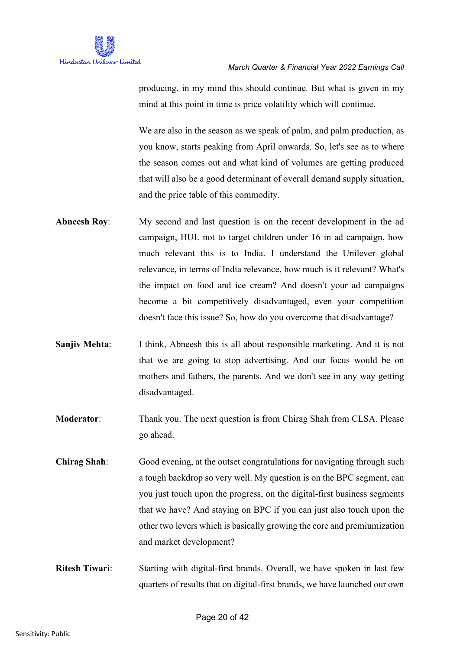

producing, in my mind this should continue. But what is given in my mind at this point in time is price volatility which will continue.

We are also in the season as we speak of palm, and palm production, as you know, starts peaking from April onwards. So, let's see as to where the season comes out and what kind of volumes are getting produced that will also be a good determinant of overall demand supply situation, and the price table of this commodity.

- **Abneesh Roy**: My second and last question is on the recent development in the ad campaign, HUL not to target children under 16 in ad campaign, how much relevant this is to India. I understand the Unilever global relevance, in terms of India relevance, how much is it relevant? What's the impact on food and ice cream? And doesn't your ad campaigns become a bit competitively disadvantaged, even your competition doesn't face this issue? So, how do you overcome that disadvantage?
- **Sanjiv Mehta:** I think, Abneesh this is all about responsible marketing. And it is not that we are going to stop advertising. And our focus would be on mothers and fathers, the parents. And we don't see in any way getting disadvantaged.
- **Moderator:** Thank you. The next question is from Chirag Shah from CLSA. Please go ahead.
- **Chirag Shah**: Good evening, at the outset congratulations for navigating through such a tough backdrop so very well. My question is on the BPC segment, can you just touch upon the progress, on the digital-first business segments that we have? And staying on BPC if you can just also touch upon the other two levers which is basically growing the core and premiumization and market development?
- **Ritesh Tiwari**: Starting with digital-first brands. Overall, we have spoken in last few quarters of results that on digital-first brands, we have launched our own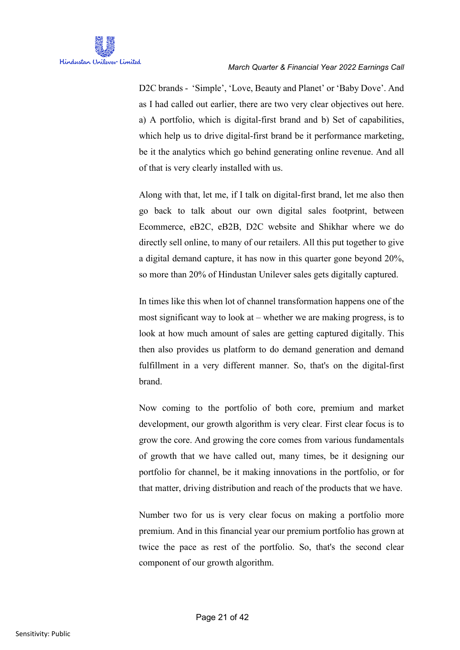D2C brands - 'Simple', 'Love, Beauty and Planet' or 'Baby Dove'. And as I had called out earlier, there are two very clear objectives out here. a) A portfolio, which is digital-first brand and b) Set of capabilities, which help us to drive digital-first brand be it performance marketing, be it the analytics which go behind generating online revenue. And all of that is very clearly installed with us.

Along with that, let me, if I talk on digital-first brand, let me also then go back to talk about our own digital sales footprint, between Ecommerce, eB2C, eB2B, D2C website and Shikhar where we do directly sell online, to many of our retailers. All this put together to give a digital demand capture, it has now in this quarter gone beyond 20%, so more than 20% of Hindustan Unilever sales gets digitally captured.

In times like this when lot of channel transformation happens one of the most significant way to look at – whether we are making progress, is to look at how much amount of sales are getting captured digitally. This then also provides us platform to do demand generation and demand fulfillment in a very different manner. So, that's on the digital-first brand.

Now coming to the portfolio of both core, premium and market development, our growth algorithm is very clear. First clear focus is to grow the core. And growing the core comes from various fundamentals of growth that we have called out, many times, be it designing our portfolio for channel, be it making innovations in the portfolio, or for that matter, driving distribution and reach of the products that we have.

Number two for us is very clear focus on making a portfolio more premium. And in this financial year our premium portfolio has grown at twice the pace as rest of the portfolio. So, that's the second clear component of our growth algorithm.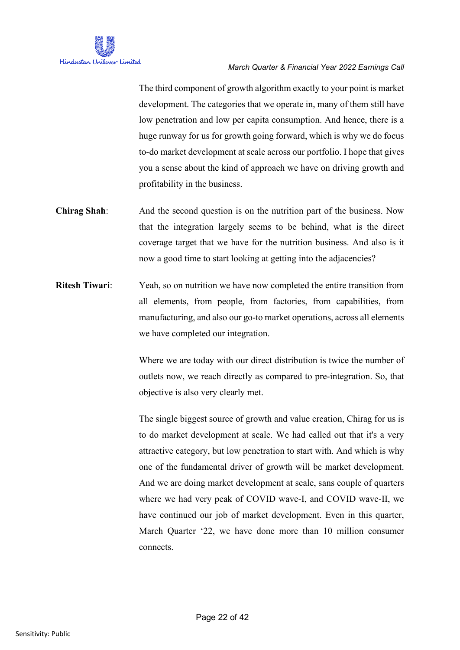

The third component of growth algorithm exactly to your point is market development. The categories that we operate in, many of them still have low penetration and low per capita consumption. And hence, there is a huge runway for us for growth going forward, which is why we do focus to-do market development at scale across our portfolio. I hope that gives you a sense about the kind of approach we have on driving growth and profitability in the business.

- **Chirag Shah:** And the second question is on the nutrition part of the business. Now that the integration largely seems to be behind, what is the direct coverage target that we have for the nutrition business. And also is it now a good time to start looking at getting into the adjacencies?
- **Ritesh Tiwari**: Yeah, so on nutrition we have now completed the entire transition from all elements, from people, from factories, from capabilities, from manufacturing, and also our go-to market operations, across all elements we have completed our integration.

Where we are today with our direct distribution is twice the number of outlets now, we reach directly as compared to pre-integration. So, that objective is also very clearly met.

The single biggest source of growth and value creation, Chirag for us is to do market development at scale. We had called out that it's a very attractive category, but low penetration to start with. And which is why one of the fundamental driver of growth will be market development. And we are doing market development at scale, sans couple of quarters where we had very peak of COVID wave-I, and COVID wave-II, we have continued our job of market development. Even in this quarter, March Quarter '22, we have done more than 10 million consumer connects.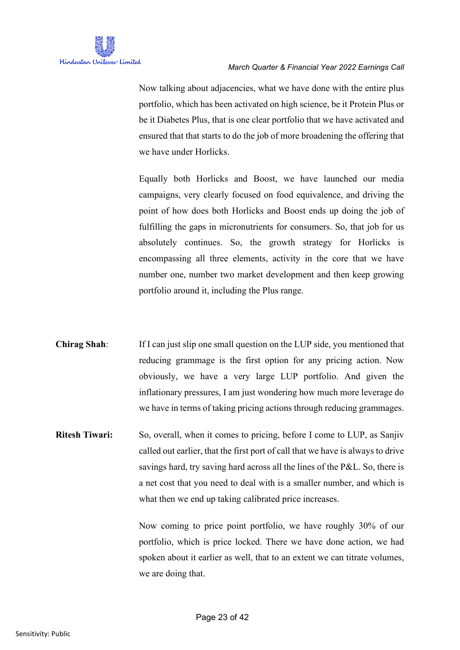

Now talking about adjacencies, what we have done with the entire plus portfolio, which has been activated on high science, be it Protein Plus or be it Diabetes Plus, that is one clear portfolio that we have activated and ensured that that starts to do the job of more broadening the offering that we have under Horlicks.

Equally both Horlicks and Boost, we have launched our media campaigns, very clearly focused on food equivalence, and driving the point of how does both Horlicks and Boost ends up doing the job of fulfilling the gaps in micronutrients for consumers. So, that job for us absolutely continues. So, the growth strategy for Horlicks is encompassing all three elements, activity in the core that we have number one, number two market development and then keep growing portfolio around it, including the Plus range.

- **Chirag Shah**: If I can just slip one small question on the LUP side, you mentioned that reducing grammage is the first option for any pricing action. Now obviously, we have a very large LUP portfolio. And given the inflationary pressures, I am just wondering how much more leverage do we have in terms of taking pricing actions through reducing grammages.
- **Ritesh Tiwari:** So, overall, when it comes to pricing, before I come to LUP, as Sanjiv called out earlier, that the first port of call that we have is always to drive savings hard, try saving hard across all the lines of the P&L. So, there is a net cost that you need to deal with is a smaller number, and which is what then we end up taking calibrated price increases.

Now coming to price point portfolio, we have roughly 30% of our portfolio, which is price locked. There we have done action, we had spoken about it earlier as well, that to an extent we can titrate volumes, we are doing that.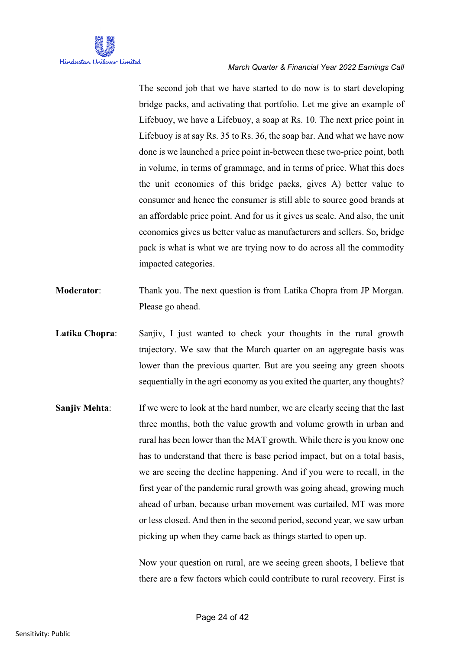

The second job that we have started to do now is to start developing bridge packs, and activating that portfolio. Let me give an example of Lifebuoy, we have a Lifebuoy, a soap at Rs. 10. The next price point in Lifebuoy is at say Rs. 35 to Rs. 36, the soap bar. And what we have now done is we launched a price point in-between these two-price point, both in volume, in terms of grammage, and in terms of price. What this does the unit economics of this bridge packs, gives A) better value to consumer and hence the consumer is still able to source good brands at an affordable price point. And for us it gives us scale. And also, the unit economics gives us better value as manufacturers and sellers. So, bridge pack is what is what we are trying now to do across all the commodity impacted categories.

- **Moderator:** Thank you. The next question is from Latika Chopra from JP Morgan. Please go ahead.
- Latika Chopra: Sanjiv, I just wanted to check your thoughts in the rural growth trajectory. We saw that the March quarter on an aggregate basis was lower than the previous quarter. But are you seeing any green shoots sequentially in the agri economy as you exited the quarter, any thoughts?
- **Sanjiv Mehta:** If we were to look at the hard number, we are clearly seeing that the last three months, both the value growth and volume growth in urban and rural has been lower than the MAT growth. While there is you know one has to understand that there is base period impact, but on a total basis, we are seeing the decline happening. And if you were to recall, in the first year of the pandemic rural growth was going ahead, growing much ahead of urban, because urban movement was curtailed, MT was more or less closed. And then in the second period, second year, we saw urban picking up when they came back as things started to open up.

Now your question on rural, are we seeing green shoots, I believe that there are a few factors which could contribute to rural recovery. First is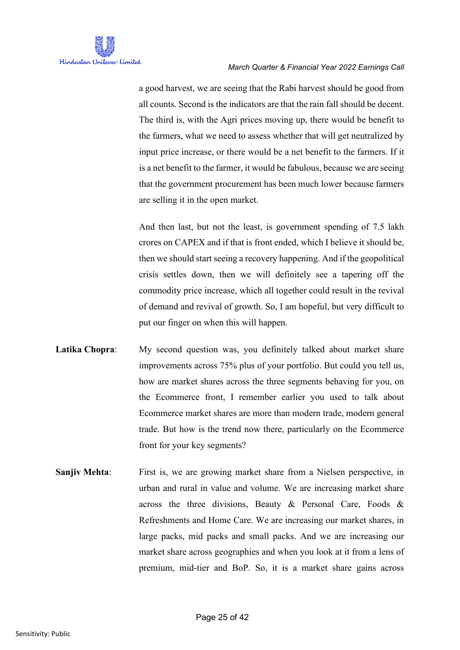a good harvest, we are seeing that the Rabi harvest should be good from all counts. Second is the indicators are that the rain fall should be decent. The third is, with the Agri prices moving up, there would be benefit to the farmers, what we need to assess whether that will get neutralized by input price increase, or there would be a net benefit to the farmers. If it is a net benefit to the farmer, it would be fabulous, because we are seeing that the government procurement has been much lower because farmers are selling it in the open market.

And then last, but not the least, is government spending of 7.5 lakh crores on CAPEX and if that is front ended, which I believe it should be, then we should start seeing a recovery happening. And if the geopolitical crisis settles down, then we will definitely see a tapering off the commodity price increase, which all together could result in the revival of demand and revival of growth. So, I am hopeful, but very difficult to put our finger on when this will happen.

- Latika Chopra: My second question was, you definitely talked about market share improvements across 75% plus of your portfolio. But could you tell us, how are market shares across the three segments behaving for you, on the Ecommerce front, I remember earlier you used to talk about Ecommerce market shares are more than modern trade, modern general trade. But how is the trend now there, particularly on the Ecommerce front for your key segments?
- **Sanjiv Mehta:** First is, we are growing market share from a Nielsen perspective, in urban and rural in value and volume. We are increasing market share across the three divisions, Beauty & Personal Care, Foods & Refreshments and Home Care. We are increasing our market shares, in large packs, mid packs and small packs. And we are increasing our market share across geographies and when you look at it from a lens of premium, mid-tier and BoP. So, it is a market share gains across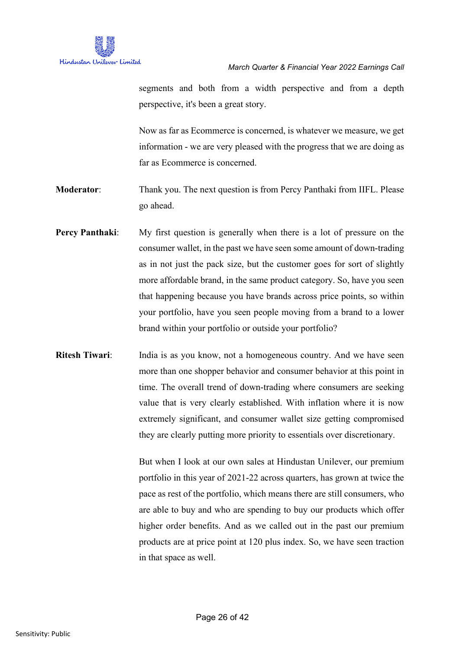

segments and both from a width perspective and from a depth perspective, it's been a great story.

Now as far as Ecommerce is concerned, is whatever we measure, we get information - we are very pleased with the progress that we are doing as far as Ecommerce is concerned.

**Moderator**: Thank you. The next question is from Percy Panthaki from IIFL. Please go ahead.

- **Percy Panthaki:** My first question is generally when there is a lot of pressure on the consumer wallet, in the past we have seen some amount of down-trading as in not just the pack size, but the customer goes for sort of slightly more affordable brand, in the same product category. So, have you seen that happening because you have brands across price points, so within your portfolio, have you seen people moving from a brand to a lower brand within your portfolio or outside your portfolio?
- **Ritesh Tiwari:** India is as you know, not a homogeneous country. And we have seen more than one shopper behavior and consumer behavior at this point in time. The overall trend of down-trading where consumers are seeking value that is very clearly established. With inflation where it is now extremely significant, and consumer wallet size getting compromised they are clearly putting more priority to essentials over discretionary.

But when I look at our own sales at Hindustan Unilever, our premium portfolio in this year of 2021-22 across quarters, has grown at twice the pace as rest of the portfolio, which means there are still consumers, who are able to buy and who are spending to buy our products which offer higher order benefits. And as we called out in the past our premium products are at price point at 120 plus index. So, we have seen traction in that space as well.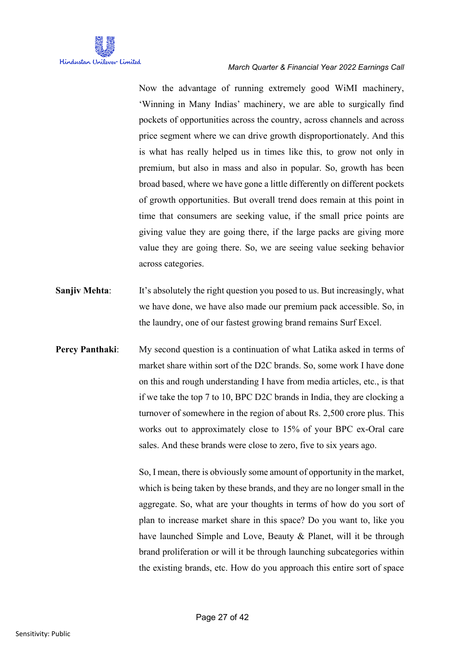

Now the advantage of running extremely good WiMI machinery, 'Winning in Many Indias' machinery, we are able to surgically find pockets of opportunities across the country, across channels and across price segment where we can drive growth disproportionately. And this is what has really helped us in times like this, to grow not only in premium, but also in mass and also in popular. So, growth has been broad based, where we have gone a little differently on different pockets of growth opportunities. But overall trend does remain at this point in time that consumers are seeking value, if the small price points are giving value they are going there, if the large packs are giving more value they are going there. So, we are seeing value seeking behavior across categories.

- **Sanjiv Mehta:** It's absolutely the right question you posed to us. But increasingly, what we have done, we have also made our premium pack accessible. So, in the laundry, one of our fastest growing brand remains Surf Excel.
- **Percy Panthaki:** My second question is a continuation of what Latika asked in terms of market share within sort of the D2C brands. So, some work I have done on this and rough understanding I have from media articles, etc., is that if we take the top 7 to 10, BPC D2C brands in India, they are clocking a turnover of somewhere in the region of about Rs. 2,500 crore plus. This works out to approximately close to 15% of your BPC ex-Oral care sales. And these brands were close to zero, five to six years ago.

So, I mean, there is obviously some amount of opportunity in the market, which is being taken by these brands, and they are no longer small in the aggregate. So, what are your thoughts in terms of how do you sort of plan to increase market share in this space? Do you want to, like you have launched Simple and Love, Beauty & Planet, will it be through brand proliferation or will it be through launching subcategories within the existing brands, etc. How do you approach this entire sort of space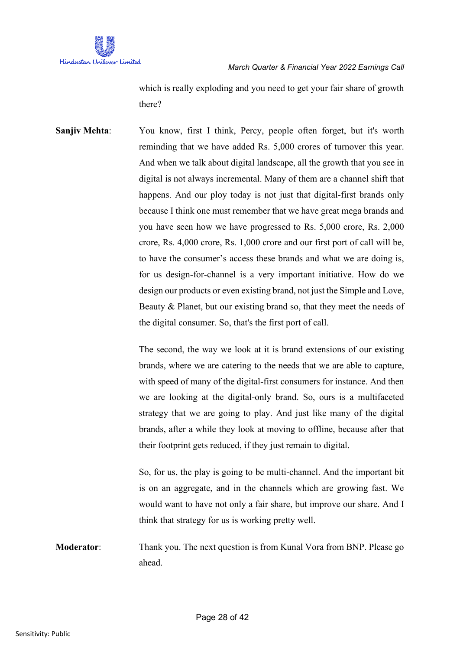

which is really exploding and you need to get your fair share of growth there?

**Sanjiv Mehta:** You know, first I think, Percy, people often forget, but it's worth reminding that we have added Rs. 5,000 crores of turnover this year. And when we talk about digital landscape, all the growth that you see in digital is not always incremental. Many of them are a channel shift that happens. And our ploy today is not just that digital-first brands only because I think one must remember that we have great mega brands and you have seen how we have progressed to Rs. 5,000 crore, Rs. 2,000 crore, Rs. 4,000 crore, Rs. 1,000 crore and our first port of call will be, to have the consumer's access these brands and what we are doing is, for us design-for-channel is a very important initiative. How do we design our products or even existing brand, not just the Simple and Love, Beauty & Planet, but our existing brand so, that they meet the needs of the digital consumer. So, that's the first port of call.

> The second, the way we look at it is brand extensions of our existing brands, where we are catering to the needs that we are able to capture, with speed of many of the digital-first consumers for instance. And then we are looking at the digital-only brand. So, ours is a multifaceted strategy that we are going to play. And just like many of the digital brands, after a while they look at moving to offline, because after that their footprint gets reduced, if they just remain to digital.

> So, for us, the play is going to be multi-channel. And the important bit is on an aggregate, and in the channels which are growing fast. We would want to have not only a fair share, but improve our share. And I think that strategy for us is working pretty well.

**Moderator:** Thank you. The next question is from Kunal Vora from BNP. Please go ahead.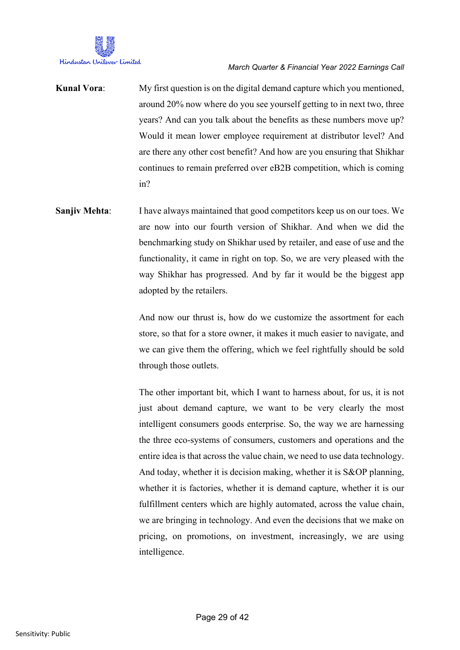

**Kunal Vora**: My first question is on the digital demand capture which you mentioned, around 20% now where do you see yourself getting to in next two, three years? And can you talk about the benefits as these numbers move up? Would it mean lower employee requirement at distributor level? And are there any other cost benefit? And how are you ensuring that Shikhar continues to remain preferred over eB2B competition, which is coming in?

**Sanjiv Mehta:** I have always maintained that good competitors keep us on our toes. We are now into our fourth version of Shikhar. And when we did the benchmarking study on Shikhar used by retailer, and ease of use and the functionality, it came in right on top. So, we are very pleased with the way Shikhar has progressed. And by far it would be the biggest app adopted by the retailers.

> And now our thrust is, how do we customize the assortment for each store, so that for a store owner, it makes it much easier to navigate, and we can give them the offering, which we feel rightfully should be sold through those outlets.

> The other important bit, which I want to harness about, for us, it is not just about demand capture, we want to be very clearly the most intelligent consumers goods enterprise. So, the way we are harnessing the three eco-systems of consumers, customers and operations and the entire idea is that across the value chain, we need to use data technology. And today, whether it is decision making, whether it is S&OP planning, whether it is factories, whether it is demand capture, whether it is our fulfillment centers which are highly automated, across the value chain, we are bringing in technology. And even the decisions that we make on pricing, on promotions, on investment, increasingly, we are using intelligence.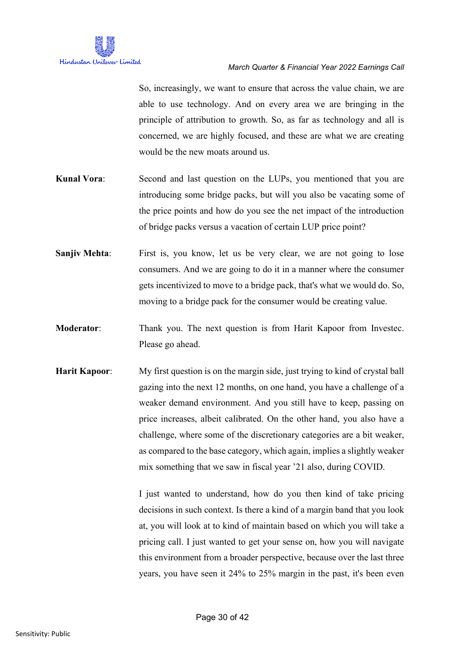So, increasingly, we want to ensure that across the value chain, we are able to use technology. And on every area we are bringing in the principle of attribution to growth. So, as far as technology and all is concerned, we are highly focused, and these are what we are creating would be the new moats around us.

- **Kunal Vora:** Second and last question on the LUPs, you mentioned that you are introducing some bridge packs, but will you also be vacating some of the price points and how do you see the net impact of the introduction of bridge packs versus a vacation of certain LUP price point?
- **Sanjiv Mehta:** First is, you know, let us be very clear, we are not going to lose consumers. And we are going to do it in a manner where the consumer gets incentivized to move to a bridge pack, that's what we would do. So, moving to a bridge pack for the consumer would be creating value.
- **Moderator:** Thank you. The next question is from Harit Kapoor from Investec. Please go ahead.
- **Harit Kapoor**: My first question is on the margin side, just trying to kind of crystal ball gazing into the next 12 months, on one hand, you have a challenge of a weaker demand environment. And you still have to keep, passing on price increases, albeit calibrated. On the other hand, you also have a challenge, where some of the discretionary categories are a bit weaker, as compared to the base category, which again, implies a slightly weaker mix something that we saw in fiscal year '21 also, during COVID.

I just wanted to understand, how do you then kind of take pricing decisions in such context. Is there a kind of a margin band that you look at, you will look at to kind of maintain based on which you will take a pricing call. I just wanted to get your sense on, how you will navigate this environment from a broader perspective, because over the last three years, you have seen it 24% to 25% margin in the past, it's been even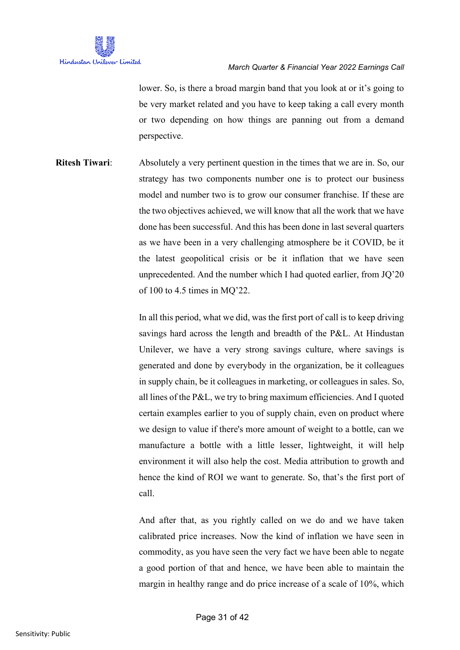

lower. So, is there a broad margin band that you look at or it's going to be very market related and you have to keep taking a call every month or two depending on how things are panning out from a demand perspective.

**Ritesh Tiwari**: Absolutely a very pertinent question in the times that we are in. So, our strategy has two components number one is to protect our business model and number two is to grow our consumer franchise. If these are the two objectives achieved, we will know that all the work that we have done has been successful. And this has been done in last several quarters as we have been in a very challenging atmosphere be it COVID, be it the latest geopolitical crisis or be it inflation that we have seen unprecedented. And the number which I had quoted earlier, from JQ'20 of 100 to 4.5 times in MQ'22.

> In all this period, what we did, was the first port of call is to keep driving savings hard across the length and breadth of the P&L. At Hindustan Unilever, we have a very strong savings culture, where savings is generated and done by everybody in the organization, be it colleagues in supply chain, be it colleagues in marketing, or colleagues in sales. So, all lines of the P&L, we try to bring maximum efficiencies. And I quoted certain examples earlier to you of supply chain, even on product where we design to value if there's more amount of weight to a bottle, can we manufacture a bottle with a little lesser, lightweight, it will help environment it will also help the cost. Media attribution to growth and hence the kind of ROI we want to generate. So, that's the first port of call.

> And after that, as you rightly called on we do and we have taken calibrated price increases. Now the kind of inflation we have seen in commodity, as you have seen the very fact we have been able to negate a good portion of that and hence, we have been able to maintain the margin in healthy range and do price increase of a scale of 10%, which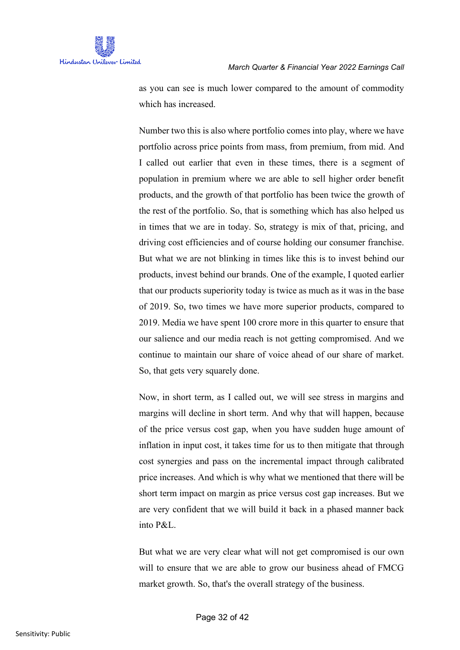as you can see is much lower compared to the amount of commodity which has increased.

Number two this is also where portfolio comes into play, where we have portfolio across price points from mass, from premium, from mid. And I called out earlier that even in these times, there is a segment of population in premium where we are able to sell higher order benefit products, and the growth of that portfolio has been twice the growth of the rest of the portfolio. So, that is something which has also helped us in times that we are in today. So, strategy is mix of that, pricing, and driving cost efficiencies and of course holding our consumer franchise. But what we are not blinking in times like this is to invest behind our products, invest behind our brands. One of the example, I quoted earlier that our products superiority today is twice as much as it was in the base of 2019. So, two times we have more superior products, compared to 2019. Media we have spent 100 crore more in this quarter to ensure that our salience and our media reach is not getting compromised. And we continue to maintain our share of voice ahead of our share of market. So, that gets very squarely done.

Now, in short term, as I called out, we will see stress in margins and margins will decline in short term. And why that will happen, because of the price versus cost gap, when you have sudden huge amount of inflation in input cost, it takes time for us to then mitigate that through cost synergies and pass on the incremental impact through calibrated price increases. And which is why what we mentioned that there will be short term impact on margin as price versus cost gap increases. But we are very confident that we will build it back in a phased manner back into P&L.

But what we are very clear what will not get compromised is our own will to ensure that we are able to grow our business ahead of FMCG market growth. So, that's the overall strategy of the business.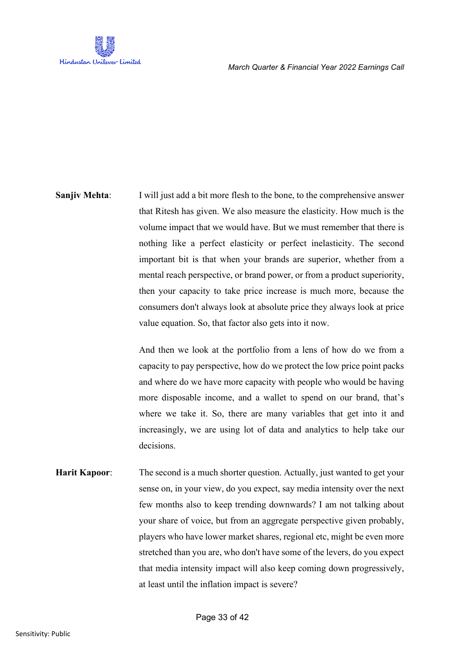

**Sanjiv Mehta:** I will just add a bit more flesh to the bone, to the comprehensive answer that Ritesh has given. We also measure the elasticity. How much is the volume impact that we would have. But we must remember that there is nothing like a perfect elasticity or perfect inelasticity. The second important bit is that when your brands are superior, whether from a mental reach perspective, or brand power, or from a product superiority, then your capacity to take price increase is much more, because the consumers don't always look at absolute price they always look at price value equation. So, that factor also gets into it now.

> And then we look at the portfolio from a lens of how do we from a capacity to pay perspective, how do we protect the low price point packs and where do we have more capacity with people who would be having more disposable income, and a wallet to spend on our brand, that's where we take it. So, there are many variables that get into it and increasingly, we are using lot of data and analytics to help take our decisions.

**Harit Kapoor:** The second is a much shorter question. Actually, just wanted to get your sense on, in your view, do you expect, say media intensity over the next few months also to keep trending downwards? I am not talking about your share of voice, but from an aggregate perspective given probably, players who have lower market shares, regional etc, might be even more stretched than you are, who don't have some of the levers, do you expect that media intensity impact will also keep coming down progressively, at least until the inflation impact is severe?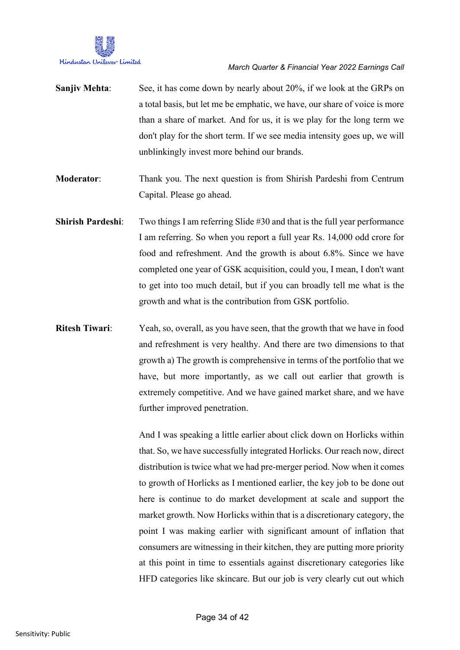

- **Sanjiv Mehta:** See, it has come down by nearly about 20%, if we look at the GRPs on a total basis, but let me be emphatic, we have, our share of voice is more than a share of market. And for us, it is we play for the long term we don't play for the short term. If we see media intensity goes up, we will unblinkingly invest more behind our brands.
- **Moderator:** Thank you. The next question is from Shirish Pardeshi from Centrum Capital. Please go ahead.
- **Shirish Pardeshi:** Two things I am referring Slide #30 and that is the full year performance I am referring. So when you report a full year Rs. 14,000 odd crore for food and refreshment. And the growth is about 6.8%. Since we have completed one year of GSK acquisition, could you, I mean, I don't want to get into too much detail, but if you can broadly tell me what is the growth and what is the contribution from GSK portfolio.
- **Ritesh Tiwari**: Yeah, so, overall, as you have seen, that the growth that we have in food and refreshment is very healthy. And there are two dimensions to that growth a) The growth is comprehensive in terms of the portfolio that we have, but more importantly, as we call out earlier that growth is extremely competitive. And we have gained market share, and we have further improved penetration.

And I was speaking a little earlier about click down on Horlicks within that. So, we have successfully integrated Horlicks. Our reach now, direct distribution is twice what we had pre-merger period. Now when it comes to growth of Horlicks as I mentioned earlier, the key job to be done out here is continue to do market development at scale and support the market growth. Now Horlicks within that is a discretionary category, the point I was making earlier with significant amount of inflation that consumers are witnessing in their kitchen, they are putting more priority at this point in time to essentials against discretionary categories like HFD categories like skincare. But our job is very clearly cut out which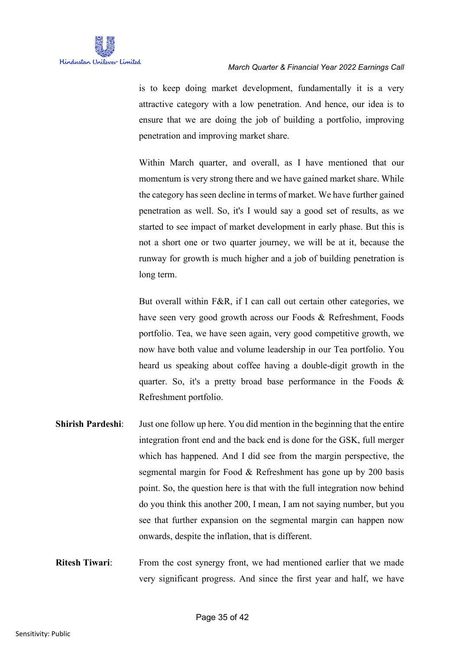is to keep doing market development, fundamentally it is a very attractive category with a low penetration. And hence, our idea is to ensure that we are doing the job of building a portfolio, improving penetration and improving market share.

Within March quarter, and overall, as I have mentioned that our momentum is very strong there and we have gained market share. While the category has seen decline in terms of market. We have further gained penetration as well. So, it's I would say a good set of results, as we started to see impact of market development in early phase. But this is not a short one or two quarter journey, we will be at it, because the runway for growth is much higher and a job of building penetration is long term.

But overall within F&R, if I can call out certain other categories, we have seen very good growth across our Foods & Refreshment, Foods portfolio. Tea, we have seen again, very good competitive growth, we now have both value and volume leadership in our Tea portfolio. You heard us speaking about coffee having a double-digit growth in the quarter. So, it's a pretty broad base performance in the Foods & Refreshment portfolio.

- **Shirish Pardeshi**: Just one follow up here. You did mention in the beginning that the entire integration front end and the back end is done for the GSK, full merger which has happened. And I did see from the margin perspective, the segmental margin for Food & Refreshment has gone up by 200 basis point. So, the question here is that with the full integration now behind do you think this another 200, I mean, I am not saying number, but you see that further expansion on the segmental margin can happen now onwards, despite the inflation, that is different.
- **Ritesh Tiwari:** From the cost synergy front, we had mentioned earlier that we made very significant progress. And since the first year and half, we have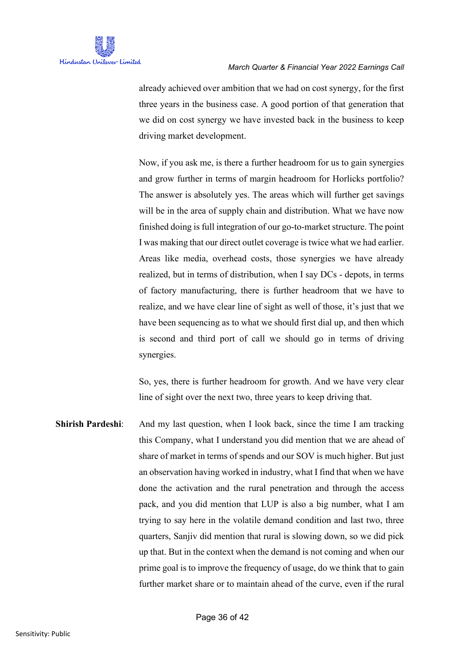

already achieved over ambition that we had on cost synergy, for the first three years in the business case. A good portion of that generation that we did on cost synergy we have invested back in the business to keep driving market development.

Now, if you ask me, is there a further headroom for us to gain synergies and grow further in terms of margin headroom for Horlicks portfolio? The answer is absolutely yes. The areas which will further get savings will be in the area of supply chain and distribution. What we have now finished doing is full integration of our go-to-market structure. The point I was making that our direct outlet coverage is twice what we had earlier. Areas like media, overhead costs, those synergies we have already realized, but in terms of distribution, when I say DCs - depots, in terms of factory manufacturing, there is further headroom that we have to realize, and we have clear line of sight as well of those, it's just that we have been sequencing as to what we should first dial up, and then which is second and third port of call we should go in terms of driving synergies.

So, yes, there is further headroom for growth. And we have very clear line of sight over the next two, three years to keep driving that.

**Shirish Pardeshi:** And my last question, when I look back, since the time I am tracking this Company, what I understand you did mention that we are ahead of share of market in terms of spends and our SOV is much higher. But just an observation having worked in industry, what I find that when we have done the activation and the rural penetration and through the access pack, and you did mention that LUP is also a big number, what I am trying to say here in the volatile demand condition and last two, three quarters, Sanjiv did mention that rural is slowing down, so we did pick up that. But in the context when the demand is not coming and when our prime goal is to improve the frequency of usage, do we think that to gain further market share or to maintain ahead of the curve, even if the rural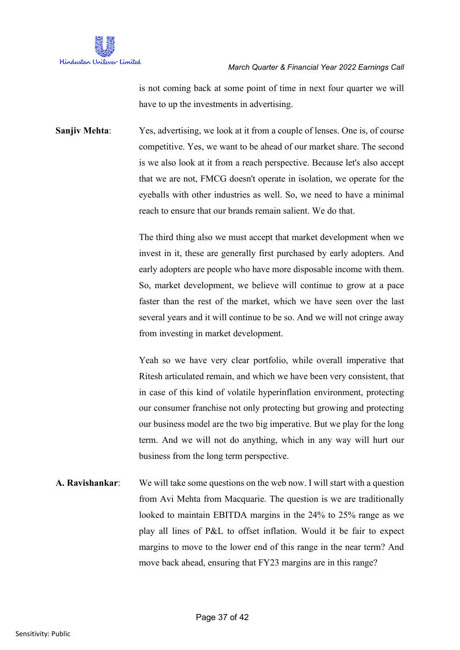

is not coming back at some point of time in next four quarter we will have to up the investments in advertising.

**Sanjiv Mehta**: Yes, advertising, we look at it from a couple of lenses. One is, of course competitive. Yes, we want to be ahead of our market share. The second is we also look at it from a reach perspective. Because let's also accept that we are not, FMCG doesn't operate in isolation, we operate for the eyeballs with other industries as well. So, we need to have a minimal reach to ensure that our brands remain salient. We do that.

> The third thing also we must accept that market development when we invest in it, these are generally first purchased by early adopters. And early adopters are people who have more disposable income with them. So, market development, we believe will continue to grow at a pace faster than the rest of the market, which we have seen over the last several years and it will continue to be so. And we will not cringe away from investing in market development.

> Yeah so we have very clear portfolio, while overall imperative that Ritesh articulated remain, and which we have been very consistent, that in case of this kind of volatile hyperinflation environment, protecting our consumer franchise not only protecting but growing and protecting our business model are the two big imperative. But we play for the long term. And we will not do anything, which in any way will hurt our business from the long term perspective.

**A. Ravishankar**: We will take some questions on the web now. I will start with a question from Avi Mehta from Macquarie. The question is we are traditionally looked to maintain EBITDA margins in the 24% to 25% range as we play all lines of P&L to offset inflation. Would it be fair to expect margins to move to the lower end of this range in the near term? And move back ahead, ensuring that FY23 margins are in this range?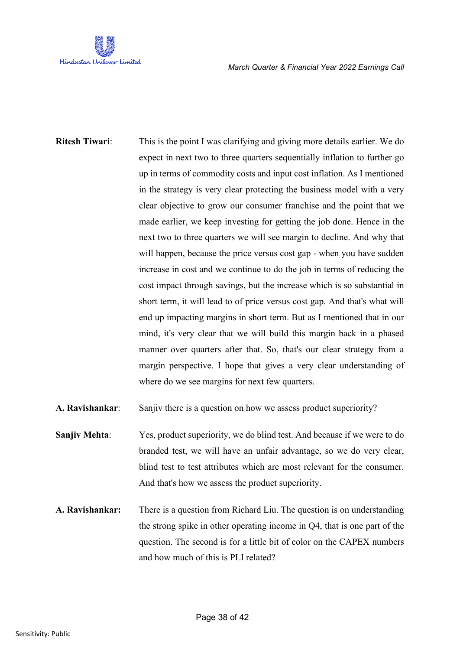

**Ritesh Tiwari**: This is the point I was clarifying and giving more details earlier. We do expect in next two to three quarters sequentially inflation to further go up in terms of commodity costs and input cost inflation. As I mentioned in the strategy is very clear protecting the business model with a very clear objective to grow our consumer franchise and the point that we made earlier, we keep investing for getting the job done. Hence in the next two to three quarters we will see margin to decline. And why that will happen, because the price versus cost gap - when you have sudden increase in cost and we continue to do the job in terms of reducing the cost impact through savings, but the increase which is so substantial in short term, it will lead to of price versus cost gap. And that's what will end up impacting margins in short term. But as I mentioned that in our mind, it's very clear that we will build this margin back in a phased manner over quarters after that. So, that's our clear strategy from a margin perspective. I hope that gives a very clear understanding of where do we see margins for next few quarters.

- **A. Ravishankar**: Sanjiv there is a question on how we assess product superiority?
- **Sanjiv Mehta:** Yes, product superiority, we do blind test. And because if we were to do branded test, we will have an unfair advantage, so we do very clear, blind test to test attributes which are most relevant for the consumer. And that's how we assess the product superiority.
- **A. Ravishankar:** There is a question from Richard Liu. The question is on understanding the strong spike in other operating income in Q4, that is one part of the question. The second is for a little bit of color on the CAPEX numbers and how much of this is PLI related?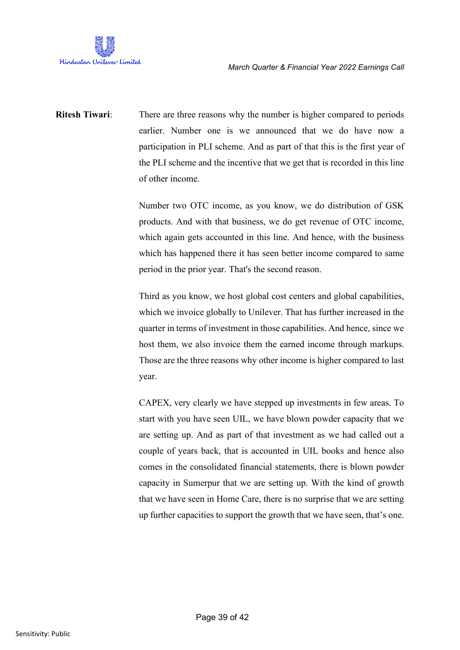

**Ritesh Tiwari:** There are three reasons why the number is higher compared to periods earlier. Number one is we announced that we do have now a participation in PLI scheme. And as part of that this is the first year of the PLI scheme and the incentive that we get that is recorded in this line of other income.

> Number two OTC income, as you know, we do distribution of GSK products. And with that business, we do get revenue of OTC income, which again gets accounted in this line. And hence, with the business which has happened there it has seen better income compared to same period in the prior year. That's the second reason.

> Third as you know, we host global cost centers and global capabilities, which we invoice globally to Unilever. That has further increased in the quarter in terms of investment in those capabilities. And hence, since we host them, we also invoice them the earned income through markups. Those are the three reasons why other income is higher compared to last year.

> CAPEX, very clearly we have stepped up investments in few areas. To start with you have seen UIL, we have blown powder capacity that we are setting up. And as part of that investment as we had called out a couple of years back, that is accounted in UIL books and hence also comes in the consolidated financial statements, there is blown powder capacity in Sumerpur that we are setting up. With the kind of growth that we have seen in Home Care, there is no surprise that we are setting up further capacities to support the growth that we have seen, that's one.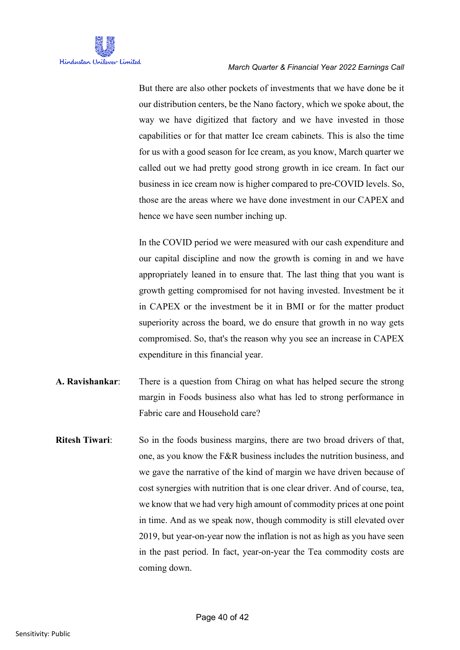But there are also other pockets of investments that we have done be it our distribution centers, be the Nano factory, which we spoke about, the way we have digitized that factory and we have invested in those capabilities or for that matter Ice cream cabinets. This is also the time for us with a good season for Ice cream, as you know, March quarter we called out we had pretty good strong growth in ice cream. In fact our business in ice cream now is higher compared to pre-COVID levels. So, those are the areas where we have done investment in our CAPEX and hence we have seen number inching up.

In the COVID period we were measured with our cash expenditure and our capital discipline and now the growth is coming in and we have appropriately leaned in to ensure that. The last thing that you want is growth getting compromised for not having invested. Investment be it in CAPEX or the investment be it in BMI or for the matter product superiority across the board, we do ensure that growth in no way gets compromised. So, that's the reason why you see an increase in CAPEX expenditure in this financial year.

- **A. Ravishankar**: There is a question from Chirag on what has helped secure the strong margin in Foods business also what has led to strong performance in Fabric care and Household care?
- **Ritesh Tiwari:** So in the foods business margins, there are two broad drivers of that, one, as you know the F&R business includes the nutrition business, and we gave the narrative of the kind of margin we have driven because of cost synergies with nutrition that is one clear driver. And of course, tea, we know that we had very high amount of commodity prices at one point in time. And as we speak now, though commodity is still elevated over 2019, but year-on-year now the inflation is not as high as you have seen in the past period. In fact, year-on-year the Tea commodity costs are coming down.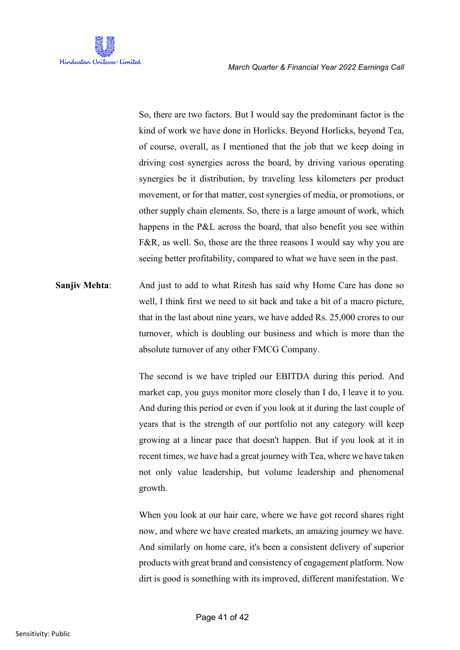

So, there are two factors. But I would say the predominant factor is the kind of work we have done in Horlicks. Beyond Horlicks, beyond Tea, of course, overall, as I mentioned that the job that we keep doing in driving cost synergies across the board, by driving various operating synergies be it distribution, by traveling less kilometers per product movement, or for that matter, cost synergies of media, or promotions, or other supply chain elements. So, there is a large amount of work, which happens in the P&L across the board, that also benefit you see within F&R, as well. So, those are the three reasons I would say why you are seeing better profitability, compared to what we have seen in the past.

**Sanjiv Mehta**: And just to add to what Ritesh has said why Home Care has done so well, I think first we need to sit back and take a bit of a macro picture, that in the last about nine years, we have added Rs. 25,000 crores to our turnover, which is doubling our business and which is more than the absolute turnover of any other FMCG Company.

> The second is we have tripled our EBITDA during this period. And market cap, you guys monitor more closely than I do, I leave it to you. And during this period or even if you look at it during the last couple of years that is the strength of our portfolio not any category will keep growing at a linear pace that doesn't happen. But if you look at it in recent times, we have had a great journey with Tea, where we have taken not only value leadership, but volume leadership and phenomenal growth.

> When you look at our hair care, where we have got record shares right now, and where we have created markets, an amazing journey we have. And similarly on home care, it's been a consistent delivery of superior products with great brand and consistency of engagement platform. Now dirt is good is something with its improved, different manifestation. We